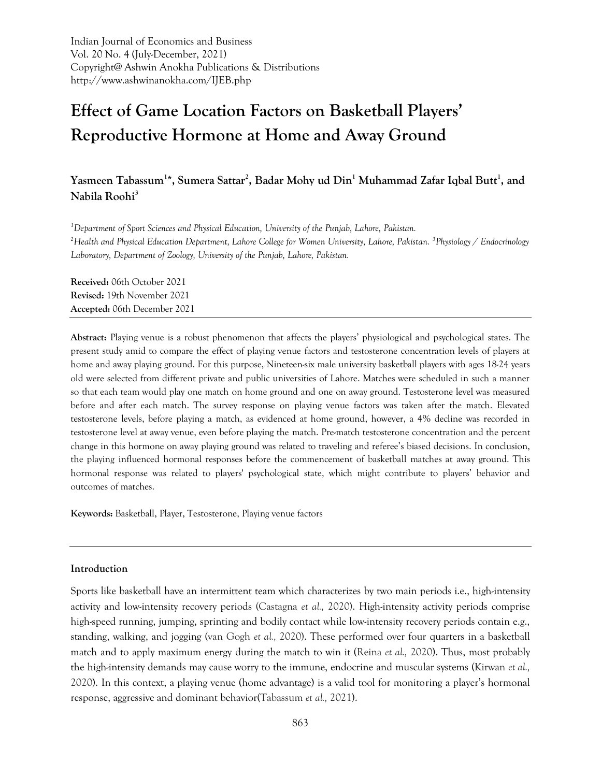Indian Journal of Economics and Business Vol. 20 No. 4 (July-December, 2021) Copyright@ Ashwin Anokha Publications & Distributions http://www.ashwinanokha.com/IJEB.php

# **Effect of Game Location Factors on Basketball Players' Reproductive Hormone at Home and Away Ground**

# **Yasmeen Tabassum<sup>1</sup> \*, Sumera Sattar<sup>2</sup> , Badar Mohy ud Din<sup>1</sup> Muhammad Zafar Iqbal Butt<sup>1</sup> , and Nabila Roohi<sup>3</sup>**

*<sup>1</sup>Department of Sport Sciences and Physical Education, University of the Punjab, Lahore, Pakistan. <sup>2</sup>Health and Physical Education Department, Lahore College for Women University, Lahore, Pakistan. <sup>3</sup> Physiology / Endocrinology Laboratory, Department of Zoology, University of the Punjab, Lahore, Pakistan.*

**Received:** 06th October 2021 **Revised:** 19th November 2021 **Accepted:** 06th December 2021

**Abstract:** Playing venue is a robust phenomenon that affects the players' physiological and psychological states. The present study amid to compare the effect of playing venue factors and testosterone concentration levels of players at home and away playing ground. For this purpose, Nineteen-six male university basketball players with ages 18-24 years old were selected from different private and public universities of Lahore. Matches were scheduled in such a manner so that each team would play one match on home ground and one on away ground. Testosterone level was measured before and after each match. The survey response on playing venue factors was taken after the match. Elevated testosterone levels, before playing a match, as evidenced at home ground, however, a 4% decline was recorded in testosterone level at away venue, even before playing the match. Pre-match testosterone concentration and the percent change in this hormone on away playing ground was related to traveling and referee's biased decisions. In conclusion, the playing influenced hormonal responses before the commencement of basketball matches at away ground. This hormonal response was related to players' psychological state, which might contribute to players' behavior and outcomes of matches.

**Keywords:** Basketball, Player, Testosterone, Playing venue factors

## **Introduction**

Sports like basketball have an intermittent team which characterizes by two main periods i.e., high-intensity activity and low-intensity recovery periods (Castagna *et al.,* 2020). High-intensity activity periods comprise high-speed running, jumping, sprinting and bodily contact while low-intensity recovery periods contain e.g., standing, walking, and jogging (van Gogh *et al.,* 2020). These performed over four quarters in a basketball match and to apply maximum energy during the match to win it (Reina *et al.,* 2020). Thus, most probably the high-intensity demands may cause worry to the immune, endocrine and muscular systems (Kirwan *et al.,* 2020). In this context, a playing venue (home advantage) is a valid tool for monitoring a player's hormonal response, aggressive and dominant behavior(Tabassum *et al.,* 2021).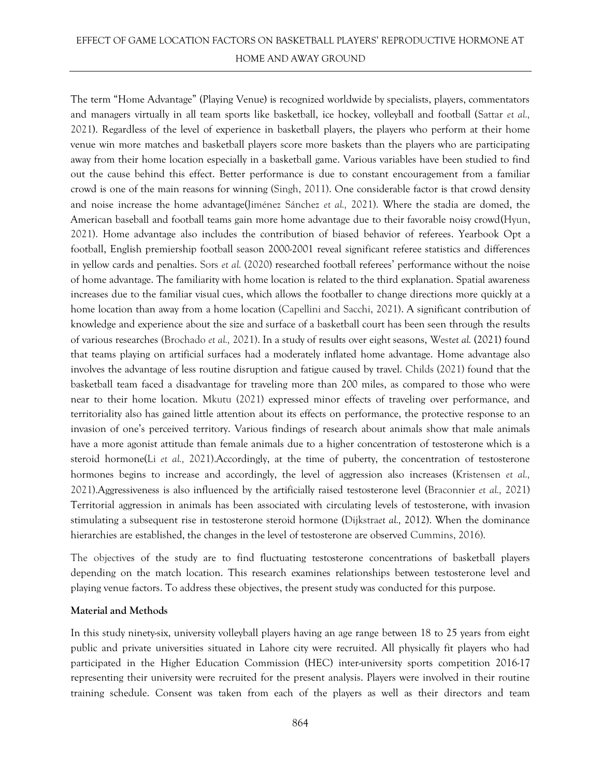# EFFECT OF GAME LOCATION FACTORS ON BASKETBALL PLAYERS' REPRODUCTIVE HORMONE AT HOME AND AWAY GROUND

The term "Home Advantage" (Playing Venue) is recognized worldwide by specialists, players, commentators and managers virtually in all team sports like basketball, ice hockey, volleyball and football (Sattar *et al.,* 2021). Regardless of the level of experience in basketball players, the players who perform at their home venue win more matches and basketball players score more baskets than the players who are participating away from their home location especially in a basketball game. Various variables have been studied to find out the cause behind this effect. Better performance is due to constant encouragement from a familiar crowd is one of the main reasons for winning (Singh, 2011). One considerable factor is that crowd density and noise increase the home advantage(Jiménez Sánchez *et al.,* 2021). Where the stadia are domed, the American baseball and football teams gain more home advantage due to their favorable noisy crowd(Hyun, 2021). Home advantage also includes the contribution of biased behavior of referees. Yearbook Opt a football, English premiership football season 2000-2001 reveal significant referee statistics and differences in yellow cards and penalties. Sors *et al.* (2020) researched football referees' performance without the noise of home advantage. The familiarity with home location is related to the third explanation. Spatial awareness increases due to the familiar visual cues, which allows the footballer to change directions more quickly at a home location than away from a home location (Capellini and Sacchi, 2021). A significant contribution of knowledge and experience about the size and surface of a basketball court has been seen through the results of various researches (Brochado *et al.,* 2021). In a study of results over eight seasons, West*et al.* (2021) found that teams playing on artificial surfaces had a moderately inflated home advantage. Home advantage also involves the advantage of less routine disruption and fatigue caused by travel. Childs (2021) found that the basketball team faced a disadvantage for traveling more than 200 miles, as compared to those who were near to their home location. Mkutu (2021) expressed minor effects of traveling over performance, and territoriality also has gained little attention about its effects on performance, the protective response to an invasion of one's perceived territory. Various findings of research about animals show that male animals have a more agonist attitude than female animals due to a higher concentration of testosterone which is a steroid hormone(Li *et al.,* 2021).Accordingly, at the time of puberty, the concentration of testosterone hormones begins to increase and accordingly, the level of aggression also increases (Kristensen *et al.,* 2021).Aggressiveness is also influenced by the artificially raised testosterone level (Braconnier *et al.,* 2021) Territorial aggression in animals has been associated with circulating levels of testosterone, with invasion stimulating a subsequent rise in testosterone steroid hormone (Dijkstra*et al.,* 2012). When the dominance hierarchies are established, the changes in the level of testosterone are observed Cummins, 2016).

The objectives of the study are to find fluctuating testosterone concentrations of basketball players depending on the match location. This research examines relationships between testosterone level and playing venue factors. To address these objectives, the present study was conducted for this purpose.

## **Material and Methods**

In this study ninety-six, university volleyball players having an age range between 18 to 25 years from eight public and private universities situated in Lahore city were recruited. All physically fit players who had participated in the Higher Education Commission (HEC) inter-university sports competition 2016-17 representing their university were recruited for the present analysis. Players were involved in their routine training schedule. Consent was taken from each of the players as well as their directors and team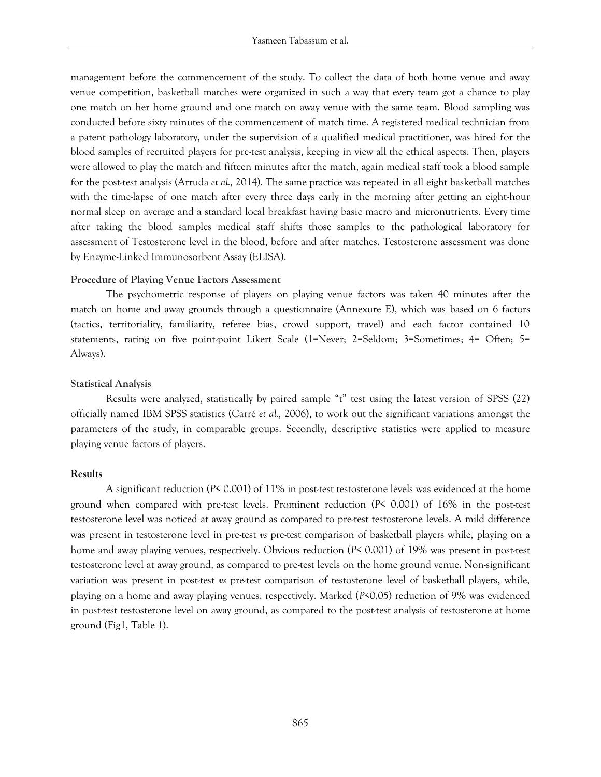management before the commencement of the study. To collect the data of both home venue and away venue competition, basketball matches were organized in such a way that every team got a chance to play one match on her home ground and one match on away venue with the same team. Blood sampling was conducted before sixty minutes of the commencement of match time. A registered medical technician from a patent pathology laboratory, under the supervision of a qualified medical practitioner, was hired for the blood samples of recruited players for pre-test analysis, keeping in view all the ethical aspects. Then, players were allowed to play the match and fifteen minutes after the match, again medical staff took a blood sample for the post-test analysis (Arruda *et al.,* 2014). The same practice was repeated in all eight basketball matches with the time-lapse of one match after every three days early in the morning after getting an eight-hour normal sleep on average and a standard local breakfast having basic macro and micronutrients. Every time after taking the blood samples medical staff shifts those samples to the pathological laboratory for assessment of Testosterone level in the blood, before and after matches. Testosterone assessment was done by Enzyme-Linked Immunosorbent Assay (ELISA).

#### **Procedure of Playing Venue Factors Assessment**

The psychometric response of players on playing venue factors was taken 40 minutes after the match on home and away grounds through a questionnaire (Annexure E), which was based on 6 factors (tactics, territoriality, familiarity, referee bias, crowd support, travel) and each factor contained 10 statements, rating on five point-point Likert Scale (1=Never; 2=Seldom; 3=Sometimes; 4= Often; 5= Always).

#### **Statistical Analysis**

Results were analyzed, statistically by paired sample "t" test using the latest version of SPSS (22) officially named IBM SPSS statistics (Carré *et al.,* 2006), to work out the significant variations amongst the parameters of the study, in comparable groups. Secondly, descriptive statistics were applied to measure playing venue factors of players.

#### **Results**

A significant reduction (*P*< 0.001) of 11% in post-test testosterone levels was evidenced at the home ground when compared with pre-test levels. Prominent reduction (*P*< 0.001) of 16% in the post-test testosterone level was noticed at away ground as compared to pre-test testosterone levels. A mild difference was present in testosterone level in pre-test *vs* pre-test comparison of basketball players while, playing on a home and away playing venues, respectively. Obvious reduction (*P*< 0.001) of 19% was present in post-test testosterone level at away ground, as compared to pre-test levels on the home ground venue. Non-significant variation was present in post-test *vs* pre-test comparison of testosterone level of basketball players, while, playing on a home and away playing venues, respectively. Marked (*P*<0.05) reduction of 9% was evidenced in post-test testosterone level on away ground, as compared to the post-test analysis of testosterone at home ground (Fig1, Table 1).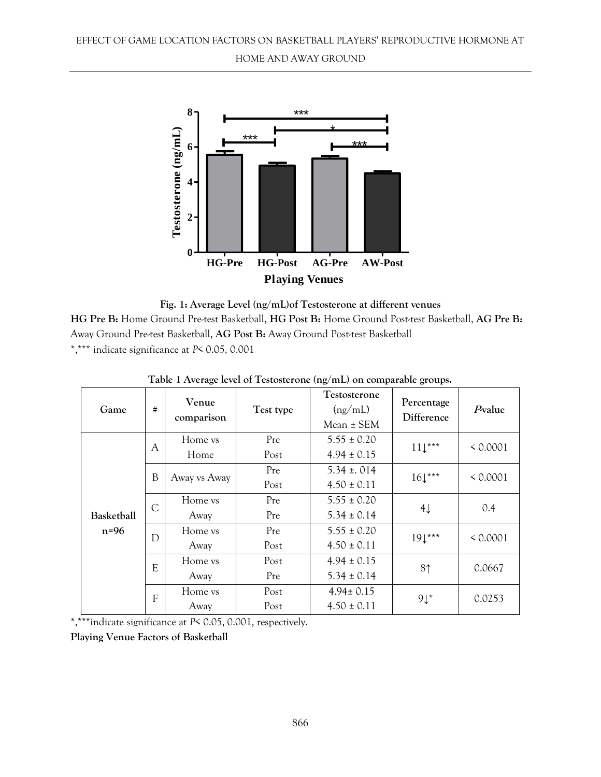

**Fig. 1: Average Level (ng/mL)of Testosterone at different venues HG Pre B:** Home Ground Pre-test Basketball, **HG Post B:** Home Ground Post-test Basketball, **AG Pre B:**  Away Ground Pre-test Basketball, **AG Post B:** Away Ground Post-test Basketball \*,\*\*\* indicate significance at *P*< 0.05, 0.001

| Game                        | #             | Venue<br>comparison    | Test type    | Testosterone<br>(ng/mL)<br>$Mean \pm SEM$ | Percentage<br>Difference | $P$ value |
|-----------------------------|---------------|------------------------|--------------|-------------------------------------------|--------------------------|-----------|
| <b>Basketball</b><br>$n=96$ | A             | Home <i>vs</i><br>Home | Pre<br>Post  | $5.55 \pm 0.20$<br>$4.94 \pm 0.15$        | $11\downarrow***$        | < 0.0001  |
|                             | B             | Away vs Away           | Pre<br>Post  | $5.34 \pm .014$<br>$4.50 \pm 0.11$        | $16\downarrow***$        | < 0.0001  |
|                             | $\mathcal{C}$ | Home <i>vs</i><br>Away | Pre<br>Pre   | $5.55 \pm 0.20$<br>$5.34 \pm 0.14$        | $4\downarrow$            | 0.4       |
|                             | D             | Home vs<br>Away        | Pre<br>Post  | $5.55 \pm 0.20$<br>$4.50 \pm 0.11$        | $191***$                 | < 0.0001  |
|                             | E             | Home vs<br>Away        | Post<br>Pre  | $4.94 \pm 0.15$<br>$5.34 \pm 0.14$        | 8 <sup>†</sup>           | 0.0667    |
|                             | F             | Home vs<br>Away        | Post<br>Post | $4.94 \pm 0.15$<br>$4.50 \pm 0.11$        | $9\downarrow$ *          | 0.0253    |

**Table 1 Average level of Testosterone (ng/mL) on comparable groups.**

\*,\*\*\*indicate significance at *P*< 0.05, 0.001, respectively.

**Playing Venue Factors of Basketball**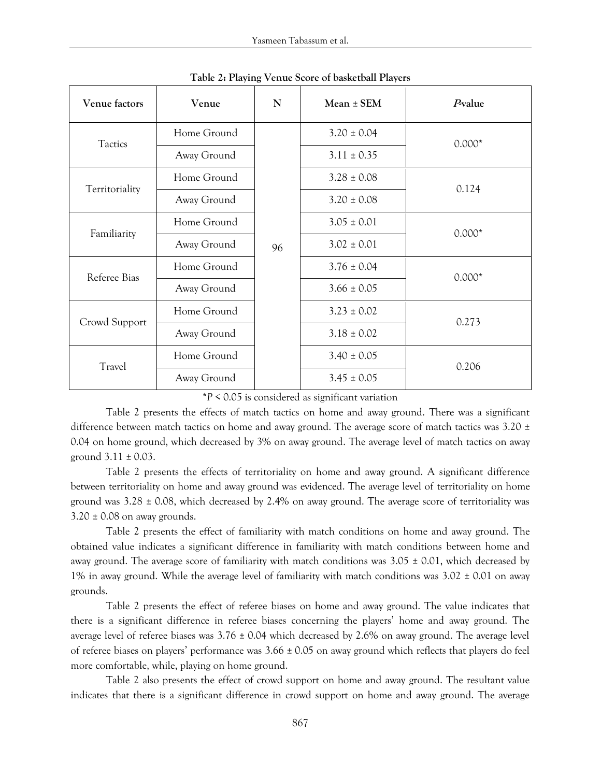| Venue factors  | Venue       | N  | $Mean \pm SEM$  | Pvalue   |  |
|----------------|-------------|----|-----------------|----------|--|
| Tactics        | Home Ground |    | $3.20 \pm 0.04$ | $0.000*$ |  |
|                | Away Ground |    | $3.11 \pm 0.35$ |          |  |
| Territoriality | Home Ground |    | $3.28 \pm 0.08$ | 0.124    |  |
|                | Away Ground |    | $3.20 \pm 0.08$ |          |  |
| Familiarity    | Home Ground |    | $3.05 \pm 0.01$ | $0.000*$ |  |
|                | Away Ground | 96 | $3.02 \pm 0.01$ |          |  |
| Referee Bias   | Home Ground |    | $3.76 \pm 0.04$ | $0.000*$ |  |
|                | Away Ground |    | $3.66 \pm 0.05$ |          |  |
| Crowd Support  | Home Ground |    | $3.23 \pm 0.02$ | 0.273    |  |
|                | Away Ground |    | $3.18 \pm 0.02$ |          |  |
| Travel         | Home Ground |    | $3.40 \pm 0.05$ | 0.206    |  |
|                | Away Ground |    | $3.45 \pm 0.05$ |          |  |

**Table 2: Playing Venue Score of basketball Players**

\**P* < 0.05 is considered as significant variation

Table 2 presents the effects of match tactics on home and away ground. There was a significant difference between match tactics on home and away ground. The average score of match tactics was 3.20 ± 0.04 on home ground, which decreased by 3% on away ground. The average level of match tactics on away ground  $3.11 \pm 0.03$ .

Table 2 presents the effects of territoriality on home and away ground. A significant difference between territoriality on home and away ground was evidenced. The average level of territoriality on home ground was  $3.28 \pm 0.08$ , which decreased by 2.4% on away ground. The average score of territoriality was  $3.20 \pm 0.08$  on away grounds.

Table 2 presents the effect of familiarity with match conditions on home and away ground. The obtained value indicates a significant difference in familiarity with match conditions between home and away ground. The average score of familiarity with match conditions was  $3.05 \pm 0.01$ , which decreased by 1% in away ground. While the average level of familiarity with match conditions was  $3.02 \pm 0.01$  on away grounds.

Table 2 presents the effect of referee biases on home and away ground. The value indicates that there is a significant difference in referee biases concerning the players' home and away ground. The average level of referee biases was  $3.76 \pm 0.04$  which decreased by 2.6% on away ground. The average level of referee biases on players' performance was  $3.66 \pm 0.05$  on away ground which reflects that players do feel more comfortable, while, playing on home ground.

Table 2 also presents the effect of crowd support on home and away ground. The resultant value indicates that there is a significant difference in crowd support on home and away ground. The average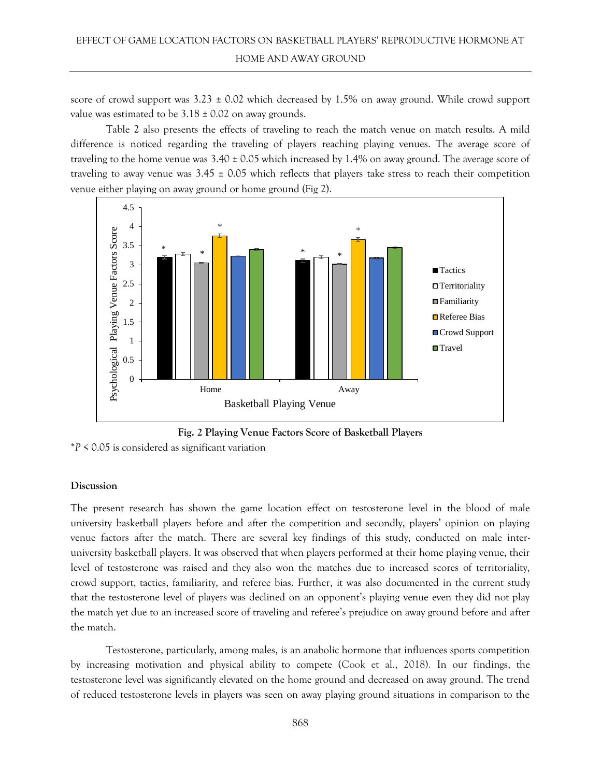score of crowd support was  $3.23 \pm 0.02$  which decreased by 1.5% on away ground. While crowd support value was estimated to be  $3.18 \pm 0.02$  on away grounds.

Table 2 also presents the effects of traveling to reach the match venue on match results. A mild difference is noticed regarding the traveling of players reaching playing venues. The average score of traveling to the home venue was  $3.40 \pm 0.05$  which increased by 1.4% on away ground. The average score of traveling to away venue was  $3.45 \pm 0.05$  which reflects that players take stress to reach their competition venue either playing on away ground or home ground (Fig 2).



**Fig. 2 Playing Venue Factors Score of Basketball Players**

\**P* < 0.05 is considered as significant variation

## **Discussion**

The present research has shown the game location effect on testosterone level in the blood of male university basketball players before and after the competition and secondly, players' opinion on playing venue factors after the match. There are several key findings of this study, conducted on male interuniversity basketball players. It was observed that when players performed at their home playing venue, their level of testosterone was raised and they also won the matches due to increased scores of territoriality, crowd support, tactics, familiarity, and referee bias. Further, it was also documented in the current study that the testosterone level of players was declined on an opponent's playing venue even they did not play the match yet due to an increased score of traveling and referee's prejudice on away ground before and after the match.

Testosterone, particularly, among males, is an anabolic hormone that influences sports competition by increasing motivation and physical ability to compete (Cook et al., 2018). In our findings, the testosterone level was significantly elevated on the home ground and decreased on away ground. The trend of reduced testosterone levels in players was seen on away playing ground situations in comparison to the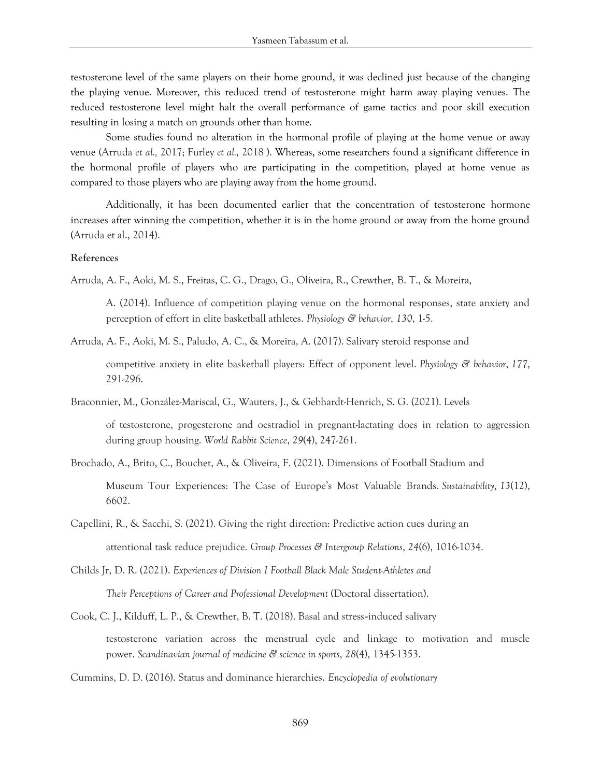testosterone level of the same players on their home ground, it was declined just because of the changing the playing venue. Moreover, this reduced trend of testosterone might harm away playing venues. The reduced testosterone level might halt the overall performance of game tactics and poor skill execution resulting in losing a match on grounds other than home.

Some studies found no alteration in the hormonal profile of playing at the home venue or away venue (Arruda *et al.,* 2017; Furley *et al.,* 2018 ). Whereas, some researchers found a significant difference in the hormonal profile of players who are participating in the competition, played at home venue as compared to those players who are playing away from the home ground.

Additionally, it has been documented earlier that the concentration of testosterone hormone increases after winning the competition, whether it is in the home ground or away from the home ground (Arruda et al., 2014).

#### **References**

Arruda, A. F., Aoki, M. S., Freitas, C. G., Drago, G., Oliveira, R., Crewther, B. T., & Moreira,

A. (2014). Influence of competition playing venue on the hormonal responses, state anxiety and perception of effort in elite basketball athletes. *Physiology & behavior*, *130*, 1-5.

Arruda, A. F., Aoki, M. S., Paludo, A. C., & Moreira, A. (2017). Salivary steroid response and

competitive anxiety in elite basketball players: Effect of opponent level. *Physiology & behavior*, *177*, 291-296.

Braconnier, M., González-Mariscal, G., Wauters, J., & Gebhardt-Henrich, S. G. (2021). Levels

of testosterone, progesterone and oestradiol in pregnant-lactating does in relation to aggression during group housing. *World Rabbit Science*, *29*(4), 247-261.

Brochado, A., Brito, C., Bouchet, A., & Oliveira, F. (2021). Dimensions of Football Stadium and

Museum Tour Experiences: The Case of Europe's Most Valuable Brands. *Sustainability*, *13*(12), 6602.

Capellini, R., & Sacchi, S. (2021). Giving the right direction: Predictive action cues during an attentional task reduce prejudice. *Group Processes & Intergroup Relations*, *24*(6), 1016-1034.

- Childs Jr, D. R. (2021). *Experiences of Division I Football Black Male Student-Athletes and Their Perceptions of Career and Professional Development* (Doctoral dissertation).
- Cook, C. J., Kilduff, L. P., & Crewther, B. T. (2018). Basal and stress‐induced salivary testosterone variation across the menstrual cycle and linkage to motivation and muscle power. *Scandinavian journal of medicine & science in sports*, *28*(4), 1345-1353.
- Cummins, D. D. (2016). Status and dominance hierarchies. *Encyclopedia of evolutionary*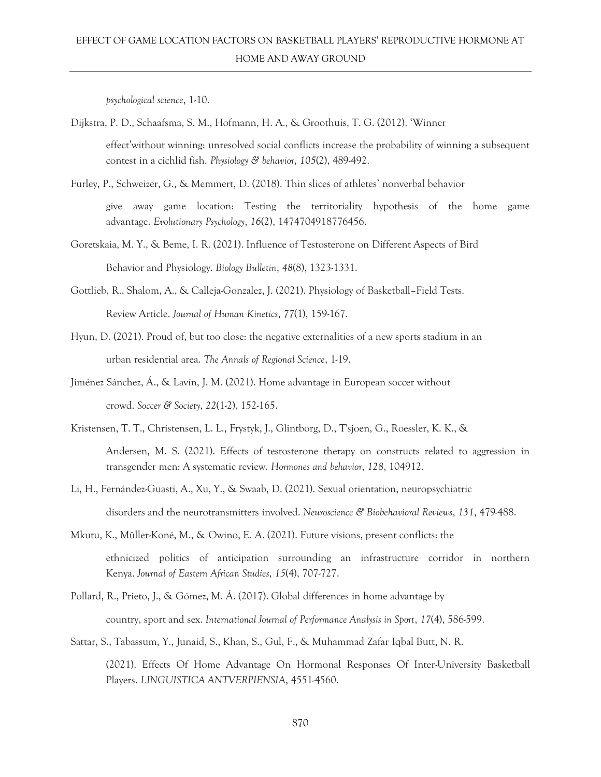*psychological science*, 1-10.

Dijkstra, P. D., Schaafsma, S. M., Hofmann, H. A., & Groothuis, T. G. (2012). 'Winner

effect'without winning: unresolved social conflicts increase the probability of winning a subsequent contest in a cichlid fish. *Physiology & behavior*, *105*(2), 489-492.

Furley, P., Schweizer, G., & Memmert, D. (2018). Thin slices of athletes' nonverbal behavior

give away game location: Testing the territoriality hypothesis of the home game advantage. *Evolutionary Psychology*, *16*(2), 1474704918776456.

- Goretskaia, M. Y., & Beme, I. R. (2021). Influence of Testosterone on Different Aspects of Bird Behavior and Physiology. *Biology Bulletin*, *48*(8), 1323-1331.
- Gottlieb, R., Shalom, A., & Calleja-Gonzalez, J. (2021). Physiology of Basketball–Field Tests. Review Article. *Journal of Human Kinetics*, *77*(1), 159-167.
- Hyun, D. (2021). Proud of, but too close: the negative externalities of a new sports stadium in an urban residential area. *The Annals of Regional Science*, 1-19.
- Jiménez Sánchez, Á., & Lavín, J. M. (2021). Home advantage in European soccer without crowd. *Soccer & Society*, *22*(1-2), 152-165.
- Kristensen, T. T., Christensen, L. L., Frystyk, J., Glintborg, D., T'sjoen, G., Roessler, K. K., & Andersen, M. S. (2021). Effects of testosterone therapy on constructs related to aggression in transgender men: A systematic review. *Hormones and behavior*, *128*, 104912.
- Li, H., Fernández-Guasti, A., Xu, Y., & Swaab, D. (2021). Sexual orientation, neuropsychiatric disorders and the neurotransmitters involved. *Neuroscience & Biobehavioral Reviews*, *131*, 479-488.
- Mkutu, K., Müller-Koné, M., & Owino, E. A. (2021). Future visions, present conflicts: the ethnicized politics of anticipation surrounding an infrastructure corridor in northern Kenya. *Journal of Eastern African Studies*, *15*(4), 707-727.
- Pollard, R., Prieto, J., & Gómez, M. Á. (2017). Global differences in home advantage by country, sport and sex. *International Journal of Performance Analysis in Sport*, *17*(4), 586-599.
- Sattar, S., Tabassum, Y., Junaid, S., Khan, S., Gul, F., & Muhammad Zafar Iqbal Butt, N. R.

(2021). Effects Of Home Advantage On Hormonal Responses Of Inter-University Basketball Players. *LINGUISTICA ANTVERPIENSIA*, 4551-4560.